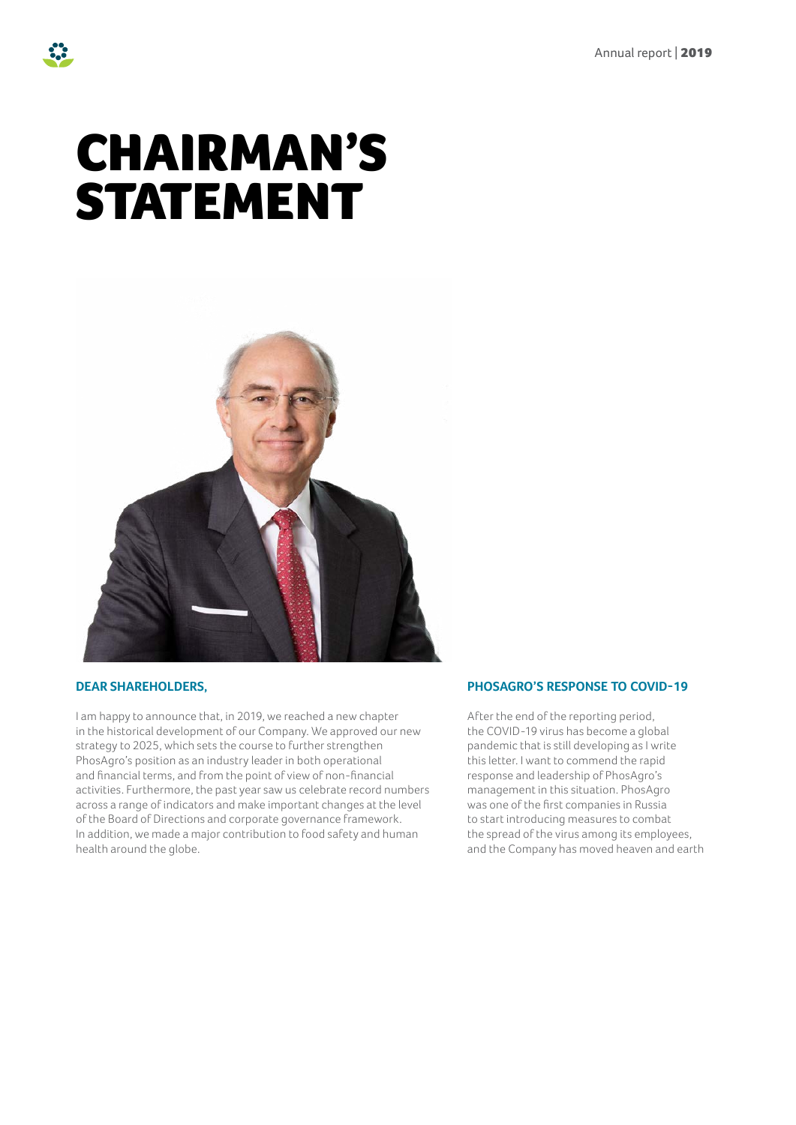# CHAIRMAN'S STATEMENT



## **DEAR SHAREHOLDERS,**

I am happy to announce that, in 2019, we reached a new chapter in the historical development of our Company. We approved our new strategy to 2025, which sets the course to further strengthen PhosAgro's position as an industry leader in both operational and financial terms, and from the point of view of non-financial activities. Furthermore, the past year saw us celebrate record numbers across a range of indicators and make important changes at the level of the Board of Directions and corporate governance framework. In addition, we made a major contribution to food safety and human health around the globe.

## **PHOSAGRO'S RESPONSE TO COVID-19**

After the end of the reporting period, the COVID-19 virus has become a global pandemic that is still developing as I write this letter. I want to commend the rapid response and leadership of PhosAgro's management in this situation. PhosAgro was one of the first companies in Russia to start introducing measures to combat the spread of the virus among its employees, and the Company has moved heaven and earth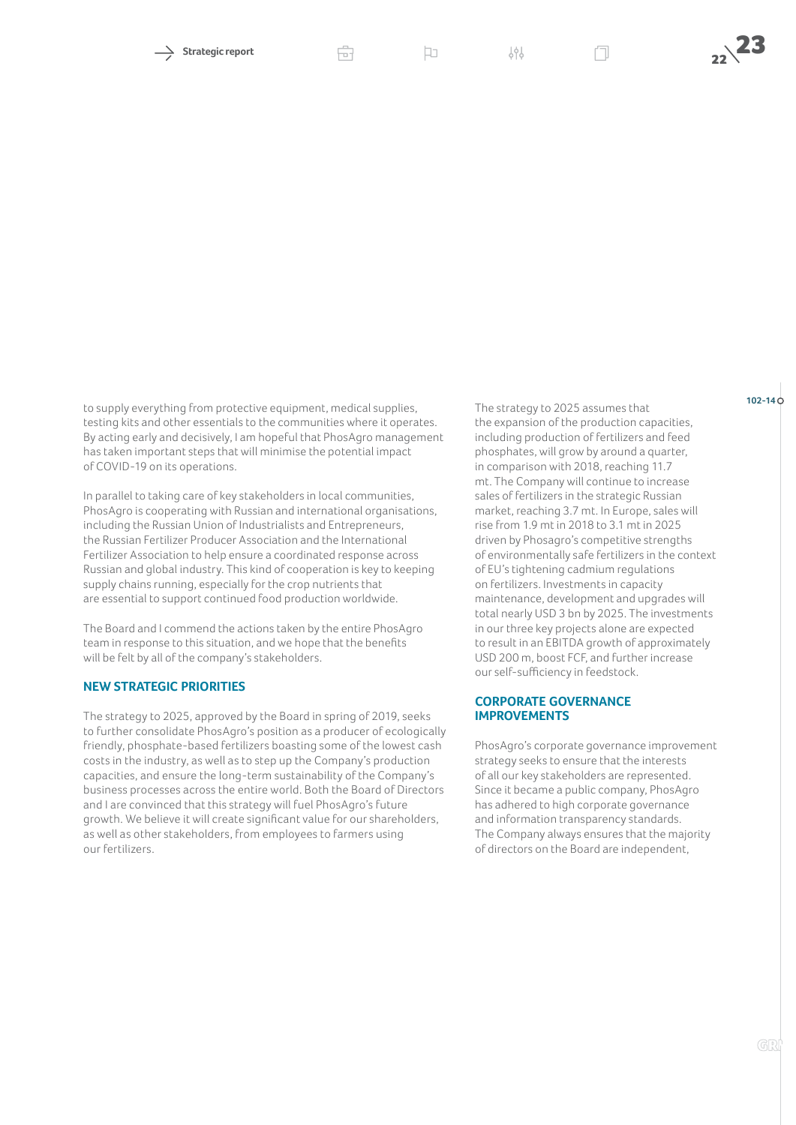to supply everything from protective equipment, medical supplies, testing kits and other essentials to the communities where it operates. By acting early and decisively, I am hopeful that PhosAgro management has taken important steps that will minimise the potential impact of COVID-19 on its operations.

In parallel to taking care of key stakeholders in local communities, PhosAgro is cooperating with Russian and international organisations, including the Russian Union of Industrialists and Entrepreneurs, the Russian Fertilizer Producer Association and the International Fertilizer Association to help ensure a coordinated response across Russian and global industry. This kind of cooperation is key to keeping supply chains running, especially for the crop nutrients that are essential to support continued food production worldwide.

The Board and I commend the actions taken by the entire PhosAgro team in response to this situation, and we hope that the benefits will be felt by all of the company's stakeholders.

## **NEW STRATEGIC PRIORITIES**

The strategy to 2025, approved by the Board in spring of 2019, seeks to further consolidate PhosAgro's position as a producer of ecologically friendly, phosphate-based fertilizers boasting some of the lowest cash costs in the industry, as well as to step up the Company's production capacities, and ensure the long-term sustainability of the Company's business processes across the entire world. Both the Board of Directors and I are convinced that this strategy will fuel PhosAgro's future growth. We believe it will create significant value for our shareholders, as well as other stakeholders, from employees to farmers using our fertilizers.

The strategy to 2025 assumes that the expansion of the production capacities, including production of fertilizers and feed phosphates, will grow by around a quarter, in comparison with 2018, reaching 11.7 mt. The Company will continue to increase sales of fertilizers in the strategic Russian market, reaching 3.7 mt. In Europe, sales will rise from 1.9 mt in 2018 to 3.1 mt in 2025 driven by Phosagro's competitive strengths of environmentally safe fertilizers in the context of EU's tightening cadmium regulations on fertilizers. Investments in capacity maintenance, development and upgrades will total nearly USD 3 bn by 2025. The investments in our three key projects alone are expected to result in an EBITDA growth of approximately USD 200 m, boost FCF, and further increase our self-sufficiency in feedstock.

#### **CORPORATE GOVERNANCE IMPROVEMENTS**

PhosAgro's corporate governance improvement strategy seeks to ensure that the interests of all our key stakeholders are represented. Since it became a public company, PhosAgro has adhered to high corporate governance and information transparency standards. The Company always ensures that the majority of directors on the Board are independent,

**102-14**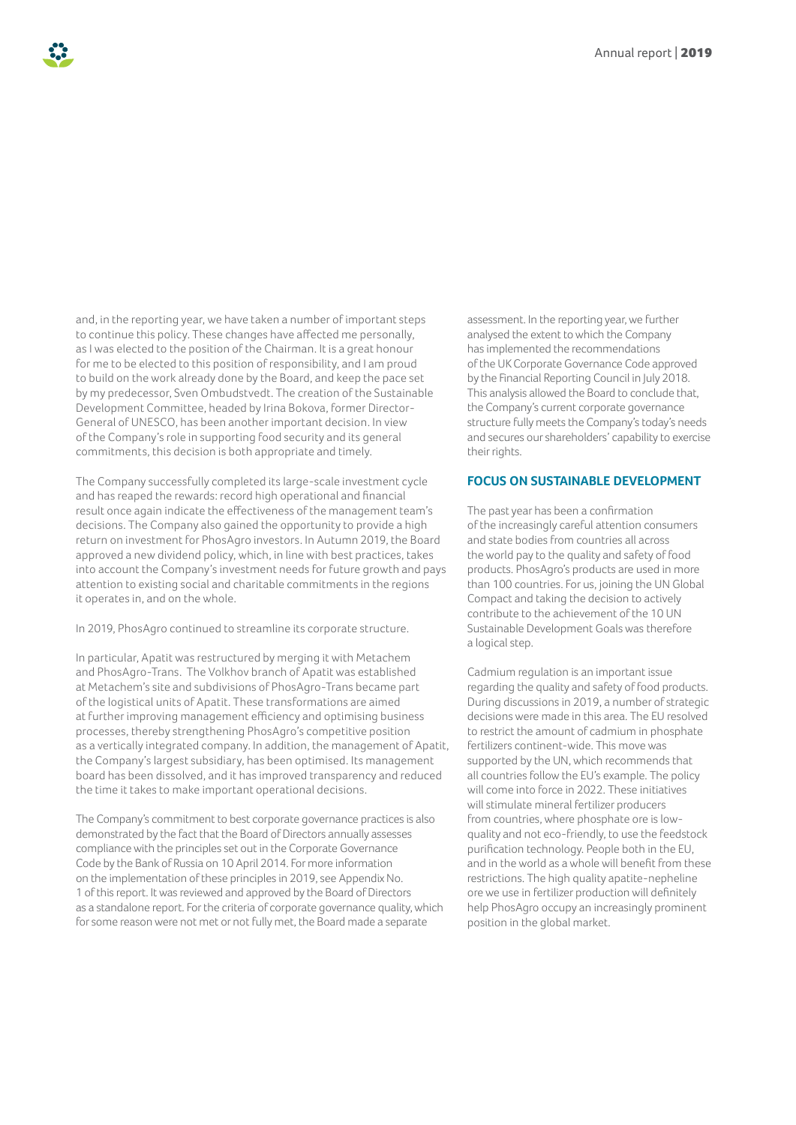and, in the reporting year, we have taken a number of important steps to continue this policy. These changes have affected me personally, as I was elected to the position of the Chairman. It is a great honour for me to be elected to this position of responsibility, and I am proud to build on the work already done by the Board, and keep the pace set by my predecessor, Sven Ombudstvedt. The creation of the Sustainable Development Committee, headed by Irina Bokova, former Director-General of UNESCO, has been another important decision. In view of the Company's role in supporting food security and its general commitments, this decision is both appropriate and timely.

The Company successfully completed its large-scale investment cycle and has reaped the rewards: record high operational and financial result once again indicate the effectiveness of the management team's decisions. The Company also gained the opportunity to provide a high return on investment for PhosAgro investors. In Autumn 2019, the Board approved a new dividend policy, which, in line with best practices, takes into account the Company's investment needs for future growth and pays attention to existing social and charitable commitments in the regions it operates in, and on the whole.

In 2019, PhosAgro continued to streamline its corporate structure.

In particular, Apatit was restructured by merging it with Metachem and PhosAgro-Trans. The Volkhov branch of Apatit was established at Metachem's site and subdivisions of PhosAgro-Trans became part of the logistical units of Apatit. These transformations are aimed at further improving management efficiency and optimising business processes, thereby strengthening PhosAgro's competitive position as a vertically integrated company. In addition, the management of Apatit, the Company's largest subsidiary, has been optimised. Its management board has been dissolved, and it has improved transparency and reduced the time it takes to make important operational decisions.

The Company's commitment to best corporate governance practices is also demonstrated by the fact that the Board of Directors annually assesses compliance with the principles set out in the Corporate Governance Code by the Bank of Russia on 10 April 2014. For more information on the implementation of these principles in 2019, see Appendix No. 1 of this report. It was reviewed and approved by the Board of Directors as a standalone report. For the criteria of corporate governance quality, which for some reason were not met or not fully met, the Board made a separate

assessment. In the reporting year, we further analysed the extent to which the Company has implemented the recommendations of the UK Corporate Governance Code approved by the Financial Reporting Council in July 2018. This analysis allowed the Board to conclude that, the Company's current corporate governance structure fully meets the Company's today's needs and secures our shareholders' capability to exercise their rights.

#### **FOCUS ON SUSTAINABLE DEVELOPMENT**

The past year has been a confirmation of the increasingly careful attention consumers and state bodies from countries all across the world pay to the quality and safety of food products. PhosAgro's products are used in more than 100 countries. For us, joining the UN Global Compact and taking the decision to actively contribute to the achievement of the 10 UN Sustainable Development Goals was therefore a logical step.

Cadmium regulation is an important issue regarding the quality and safety of food products. During discussions in 2019, a number of strategic decisions were made in this area. The EU resolved to restrict the amount of cadmium in phosphate fertilizers continent-wide. This move was supported by the UN, which recommends that all countries follow the EU's example. The policy will come into force in 2022. These initiatives will stimulate mineral fertilizer producers from countries, where phosphate ore is lowquality and not eco-friendly, to use the feedstock purification technology. People both in the EU, and in the world as a whole will benefit from these restrictions. The high quality apatite-nepheline ore we use in fertilizer production will definitely help PhosAgro occupy an increasingly prominent position in the global market.